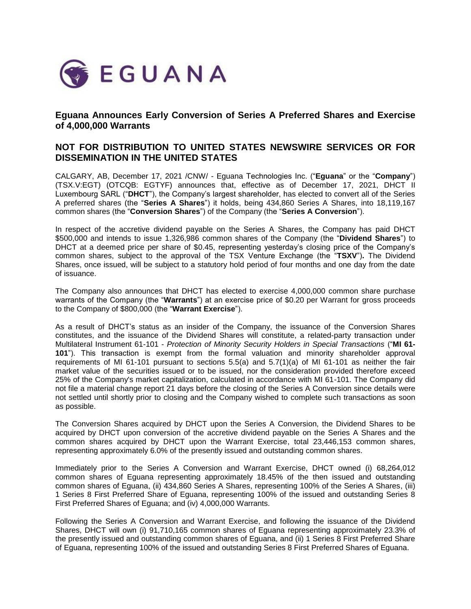

# **Eguana Announces Early Conversion of Series A Preferred Shares and Exercise of 4,000,000 Warrants**

# **NOT FOR DISTRIBUTION TO UNITED STATES NEWSWIRE SERVICES OR FOR DISSEMINATION IN THE UNITED STATES**

CALGARY, AB, December 17, 2021 /CNW/ - Eguana Technologies Inc. ("**Eguana**" or the "**Company**") (TSX.V:EGT) (OTCQB: EGTYF) announces that, effective as of December 17, 2021, DHCT II Luxembourg SARL ("**DHCT**"), the Company's largest shareholder, has elected to convert all of the Series A preferred shares (the "**Series A Shares**") it holds, being 434,860 Series A Shares, into 18,119,167 common shares (the "**Conversion Shares**") of the Company (the "**Series A Conversion**").

In respect of the accretive dividend payable on the Series A Shares, the Company has paid DHCT \$500,000 and intends to issue 1,326,986 common shares of the Company (the "**Dividend Shares**") to DHCT at a deemed price per share of \$0.45, representing yesterday's closing price of the Company's common shares, subject to the approval of the TSX Venture Exchange (the "**TSXV**")**.** The Dividend Shares, once issued, will be subject to a statutory hold period of four months and one day from the date of issuance.

The Company also announces that DHCT has elected to exercise 4,000,000 common share purchase warrants of the Company (the "**Warrants**") at an exercise price of \$0.20 per Warrant for gross proceeds to the Company of \$800,000 (the "**Warrant Exercise**").

As a result of DHCT's status as an insider of the Company, the issuance of the Conversion Shares constitutes, and the issuance of the Dividend Shares will constitute, a related-party transaction under Multilateral Instrument 61-101 - *Protection of Minority Security Holders in Special Transactions* ("**MI 61- 101**"). This transaction is exempt from the formal valuation and minority shareholder approval requirements of MI 61-101 pursuant to sections 5.5(a) and 5.7(1)(a) of MI 61-101 as neither the fair market value of the securities issued or to be issued, nor the consideration provided therefore exceed 25% of the Company's market capitalization, calculated in accordance with MI 61-101. The Company did not file a material change report 21 days before the closing of the Series A Conversion since details were not settled until shortly prior to closing and the Company wished to complete such transactions as soon as possible.

The Conversion Shares acquired by DHCT upon the Series A Conversion, the Dividend Shares to be acquired by DHCT upon conversion of the accretive dividend payable on the Series A Shares and the common shares acquired by DHCT upon the Warrant Exercise, total 23,446,153 common shares, representing approximately 6.0% of the presently issued and outstanding common shares.

Immediately prior to the Series A Conversion and Warrant Exercise, DHCT owned (i) 68,264,012 common shares of Eguana representing approximately 18.45% of the then issued and outstanding common shares of Eguana, (ii) 434,860 Series A Shares, representing 100% of the Series A Shares, (iii) 1 Series 8 First Preferred Share of Eguana, representing 100% of the issued and outstanding Series 8 First Preferred Shares of Eguana; and (iv) 4,000,000 Warrants.

Following the Series A Conversion and Warrant Exercise, and following the issuance of the Dividend Shares, DHCT will own (i) 91,710,165 common shares of Eguana representing approximately 23.3% of the presently issued and outstanding common shares of Eguana, and (ii) 1 Series 8 First Preferred Share of Eguana, representing 100% of the issued and outstanding Series 8 First Preferred Shares of Eguana.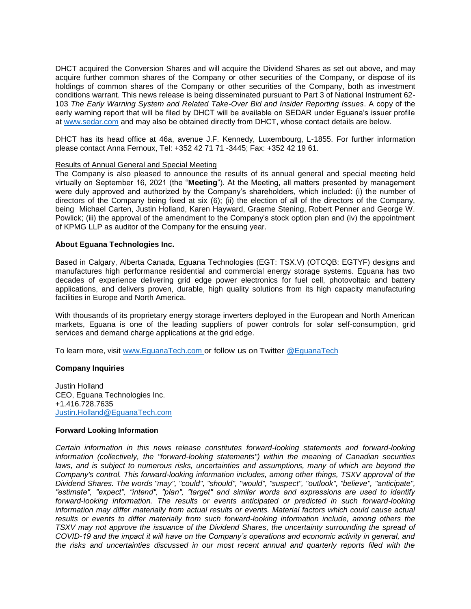DHCT acquired the Conversion Shares and will acquire the Dividend Shares as set out above, and may acquire further common shares of the Company or other securities of the Company, or dispose of its holdings of common shares of the Company or other securities of the Company, both as investment conditions warrant. This news release is being disseminated pursuant to Part 3 of National Instrument 62- 103 *The Early Warning System and Related Take-Over Bid and Insider Reporting Issues*. A copy of the early warning report that will be filed by DHCT will be available on SEDAR under Eguana's issuer profile at [www.sedar.com](http://www.sedar.com/) and may also be obtained directly from DHCT, whose contact details are below.

DHCT has its head office at 46a, avenue J.F. Kennedy, Luxembourg, L-1855. For further information please contact Anna Fernoux, Tel: +352 42 71 71 -3445; Fax: +352 42 19 61.

## Results of Annual General and Special Meeting

The Company is also pleased to announce the results of its annual general and special meeting held virtually on September 16, 2021 (the "**Meeting**"). At the Meeting, all matters presented by management were duly approved and authorized by the Company's shareholders, which included: (i) the number of directors of the Company being fixed at six (6); (ii) the election of all of the directors of the Company, being Michael Carten, Justin Holland, Karen Hayward, Graeme Stening, Robert Penner and George W. Powlick; (iii) the approval of the amendment to the Company's stock option plan and (iv) the appointment of KPMG LLP as auditor of the Company for the ensuing year.

### **About Eguana Technologies Inc.**

Based in Calgary, Alberta Canada, Eguana Technologies (EGT: TSX.V) (OTCQB: EGTYF) designs and manufactures high performance residential and commercial energy storage systems. Eguana has two decades of experience delivering grid edge power electronics for fuel cell, photovoltaic and battery applications, and delivers proven, durable, high quality solutions from its high capacity manufacturing facilities in Europe and North America.

With thousands of its proprietary energy storage inverters deployed in the European and North American markets, Eguana is one of the leading suppliers of power controls for solar self-consumption, grid services and demand charge applications at the grid edge.

To learn more, visit [www.EguanaTech.com o](http://www.eguanatech.com/)r follow us on Twitter [@EguanaTech](https://twitter.com/EguanaTech)

### **Company Inquiries**

Justin Holland CEO, Eguana Technologies Inc. +1.416.728.7635 [Justin.Holland@EguanaTech.com](mailto:Justin.Holland@EguanaTech.com)

### **Forward Looking Information**

*Certain information in this news release constitutes forward-looking statements and forward-looking information (collectively, the "forward-looking statements") within the meaning of Canadian securities laws, and is subject to numerous risks, uncertainties and assumptions, many of which are beyond the Company's control. This forward-looking information includes, among other things, TSXV approval of the Dividend Shares. The words "may", "could", "should", "would", "suspect", "outlook", "believe", "anticipate", "estimate", "expect", "intend", "plan", "target" and similar words and expressions are used to identify forward-looking information. The results or events anticipated or predicted in such forward-looking information may differ materially from actual results or events. Material factors which could cause actual*  results or events to differ materially from such forward-looking information include, among others the *TSXV may not approve the issuance of the Dividend Shares, the uncertainty surrounding the spread of COVID-19 and the impact it will have on the Company's operations and economic activity in general, and the risks and uncertainties discussed in our most recent annual and quarterly reports filed with the*